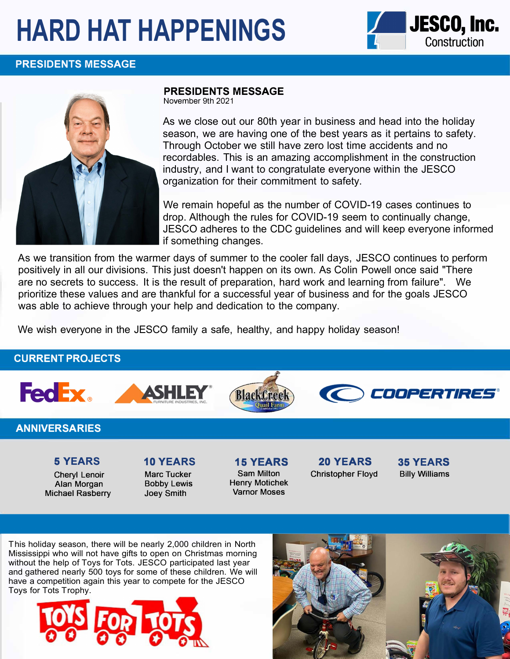# **HARD HAT HAPPENINGS JESCO, Inc.**







### **PRESIDENTS MESSAGE**

November 9th 2021

As we close out our 80th year in business and head into the holiday season, we are having one of the best years as it pertains to safety. Through October we still have zero lost time accidents and no recordables. This is an amazing accomplishment in the construction industry, and I want to congratulate everyone within the JESCO organization for their commitment to safety.

We remain hopeful as the number of COVID-19 cases continues to drop. Although the rules for COVID-19 seem to continually change, JESCO adheres to the CDC guidelines and will keep everyone informed if something changes.

As we transition from the warmer days of summer to the cooler fall days, JESCO continues to perform positively in all our divisions. This just doesn't happen on its own. As Colin Powell once said "There are no secrets to success. It is the result of preparation, hard work and learning from failure". We prioritize these values and are thankful for a successful year of business and for the goals JESCO was able to achieve through your help and dedication to the company.

We wish everyone in the JESCO family a safe, healthy, and happy holiday season!

## **CURRENT PROJECTS**









## **ANNIVERSARIES**

## **5 YEARS**

Cheryl Lenoir Alan Morgan Michael Rasberry

## **10 YEARS**

Marc Tucker Bobby Lewis Joey Smith

**15 YEARS**  Sam Milton Henry Motichek Varnor Moses

**20 YEARS**  Christopher Floyd **35YEARS**  Billy Williams

This holiday season, there will be nearly 2,000 children in North Mississippi who will not have gifts to open on Christmas morning without the help of Toys for Tots. JESCO participated last year and gathered nearly 500 toys for some of these children. We will have a competition again this year to compete for the JESCO Toys for Tots Trophy.